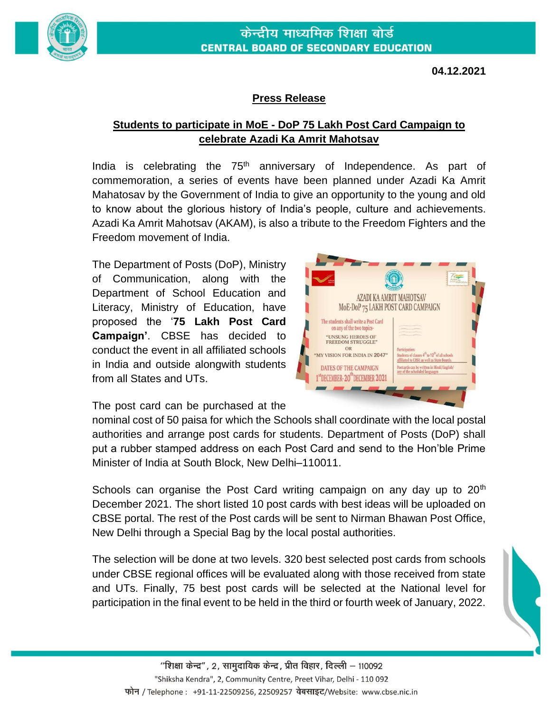

**04.12.2021**

## **Press Release**

## **Students to participate in MoE - DoP 75 Lakh Post Card Campaign to celebrate Azadi Ka Amrit Mahotsav**

India is celebrating the  $75<sup>th</sup>$  anniversary of Independence. As part of commemoration, a series of events have been planned under Azadi Ka Amrit Mahatosav by the Government of India to give an opportunity to the young and old to know about the glorious history of India's people, culture and achievements. Azadi Ka Amrit Mahotsav (AKAM), is also a tribute to the Freedom Fighters and the Freedom movement of India.

The Department of Posts (DoP), Ministry of Communication, along with the Department of School Education and Literacy, Ministry of Education, have proposed the '**75 Lakh Post Card Campaign'**. CBSE has decided to conduct the event in all affiliated schools in India and outside alongwith students from all States and UTs.



The post card can be purchased at the

nominal cost of 50 paisa for which the Schools shall coordinate with the local postal authorities and arrange post cards for students. Department of Posts (DoP) shall put a rubber stamped address on each Post Card and send to the Hon'ble Prime Minister of India at South Block, New Delhi–110011.

Schools can organise the Post Card writing campaign on any day up to  $20<sup>th</sup>$ December 2021. The short listed 10 post cards with best ideas will be uploaded on CBSE portal. The rest of the Post cards will be sent to Nirman Bhawan Post Office, New Delhi through a Special Bag by the local postal authorities.

The selection will be done at two levels. 320 best selected post cards from schools under CBSE regional offices will be evaluated along with those received from state and UTs. Finally, 75 best post cards will be selected at the National level for participation in the final event to be held in the third or fourth week of January, 2022.